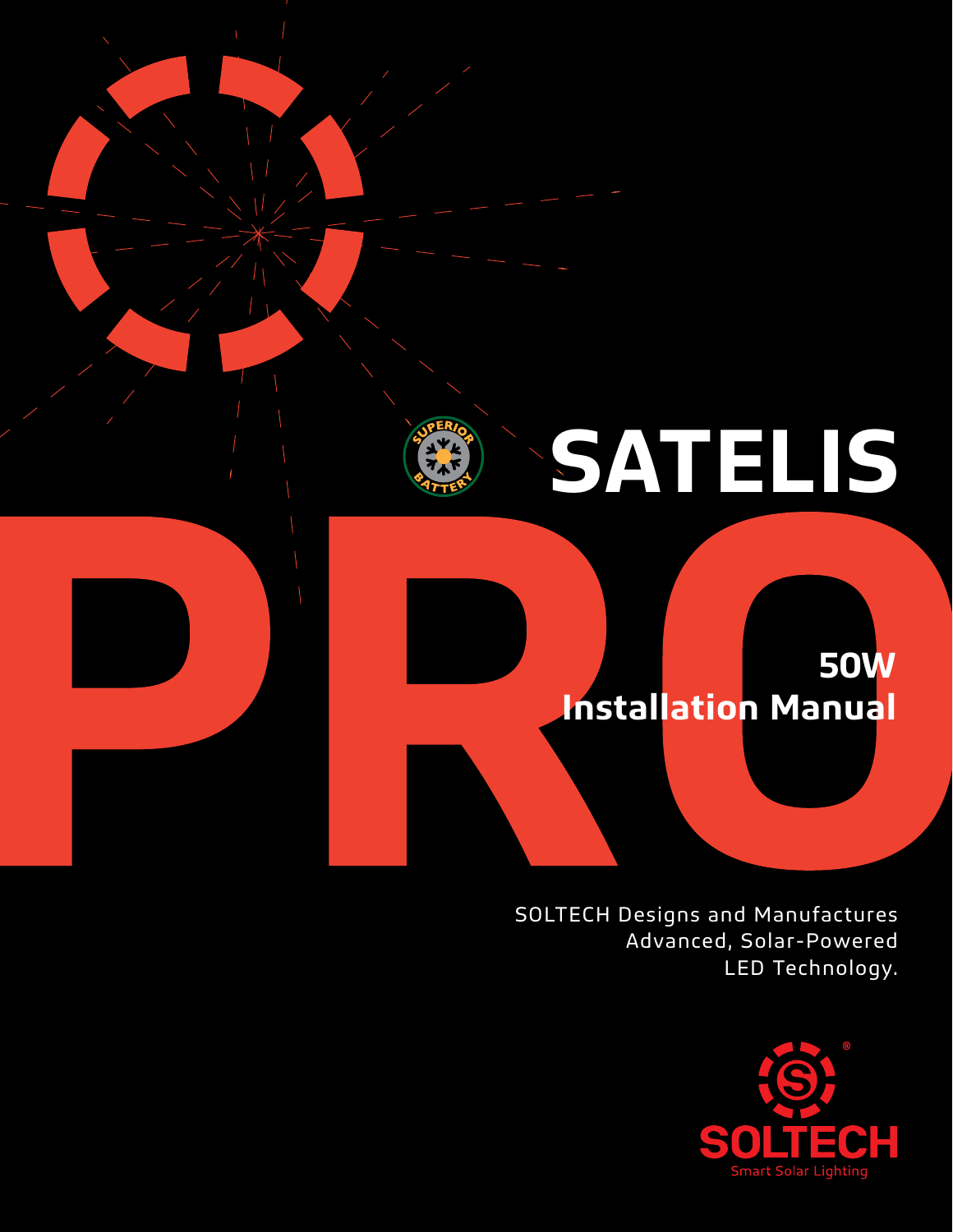# **SATELIS**

## **50W Installation Manual**

SOLTECH Designs and Manufactures Advanced, Solar-Powered LED Technology.

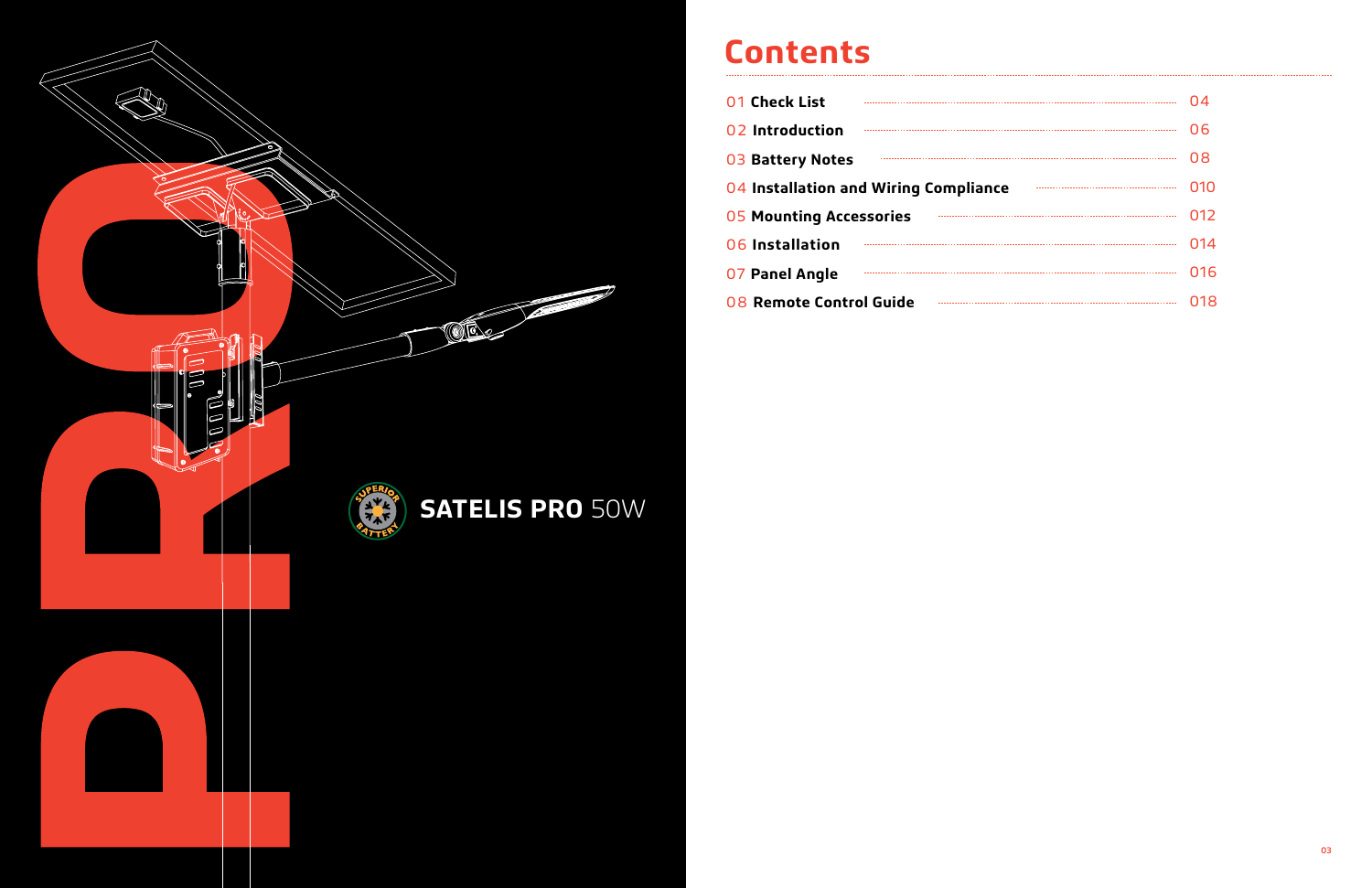

## **Contents**

| 01 Check List                         | 04  |
|---------------------------------------|-----|
| 02 Introduction                       | 06  |
| <b>03 Battery Notes</b>               | 08  |
| 04 Installation and Wiring Compliance | 010 |
| <b>05 Mounting Accessories</b>        | 012 |
| 06 Installation                       | 014 |
| 07 Panel Angle                        | 016 |
| 08 Remote Control Guide               | 018 |
|                                       |     |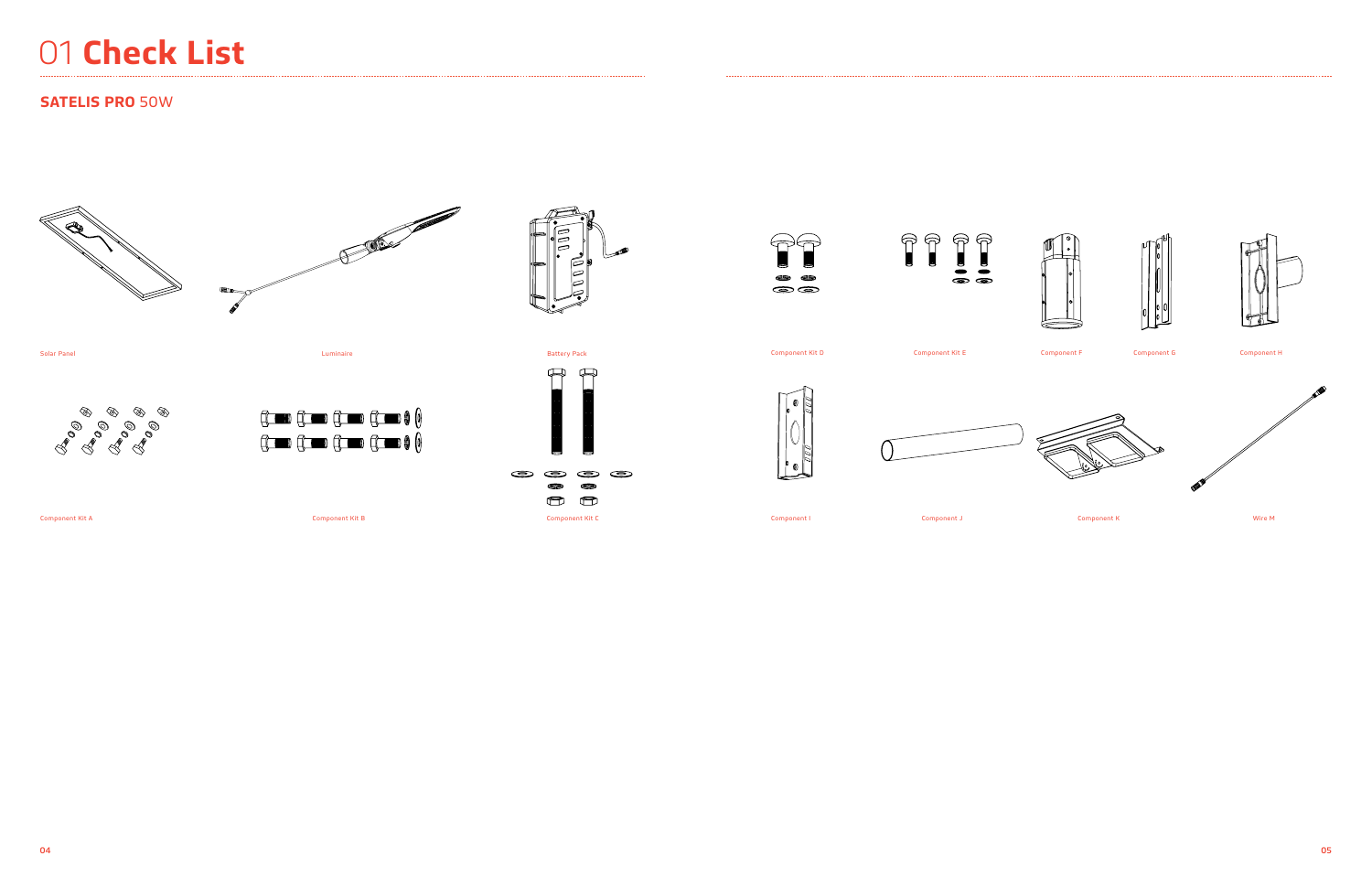







## 01 **Check List**

## **SATELIS PRO** 50W











Ø



Solar Panel



Component Kit A

Component Kit D Component Kit E Component F Component G Component H





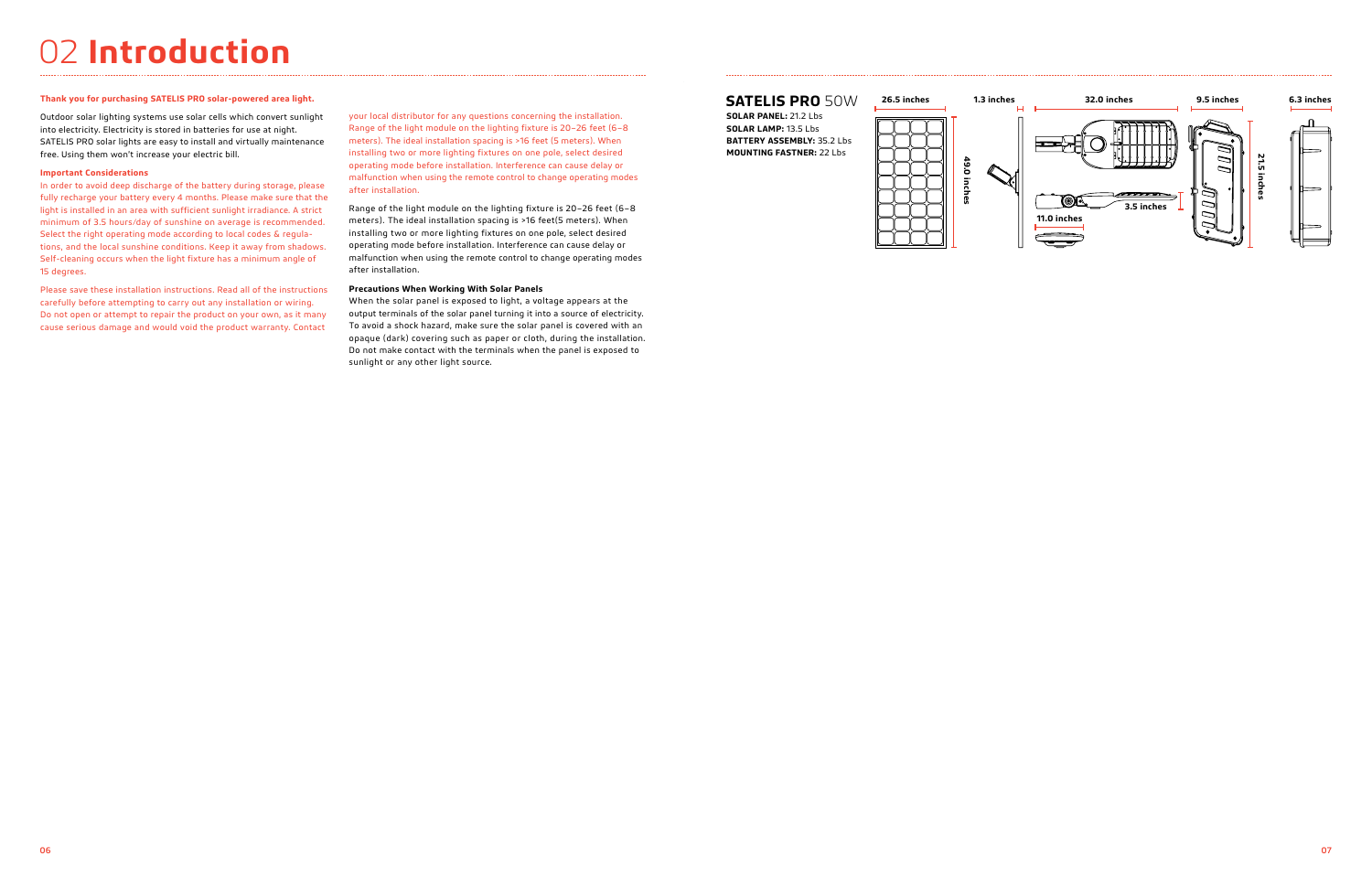## 02 **Introduction**

## **Thank you for purchasing SATELIS PRO solar-powered area light.**

Outdoor solar lighting systems use solar cells which convert sunlight into electricity. Electricity is stored in batteries for use at night. SATELIS PRO solar lights are easy to install and virtually maintenance free. Using them won't increase your electric bill.

## **Important Considerations**

In order to avoid deep discharge of the battery during storage, please fully recharge your battery every 4 months. Please make sure that the light is installed in an area with sufficient sunlight irradiance. A strict minimum of 3.5 hours/day of sunshine on average is recommended. Select the right operating mode according to local codes & regulations, and the local sunshine conditions. Keep it away from shadows. Self-cleaning occurs when the light fixture has a minimum angle of 15 degrees.

Please save these installation instructions. Read all of the instructions carefully before attempting to carry out any installation or wiring. Do not open or attempt to repair the product on your own, as it many cause serious damage and would void the product warranty. Contact

your local distributor for any questions concerning the installation. Range of the light module on the lighting fixture is 20–26 feet (6–8 meters). The ideal installation spacing is >16 feet (5 meters). When installing two or more lighting fixtures on one pole, select desired operating mode before installation. Interference can cause delay or malfunction when using the remote control to change operating modes after installation.

Range of the light module on the lighting fixture is 20–26 feet (6–8 meters). The ideal installation spacing is >16 feet(5 meters). When installing two or more lighting fixtures on one pole, select desired operating mode before installation. Interference can cause delay or malfunction when using the remote control to change operating modes after installation.

## **Precautions When Working With Solar Panels**

When the solar panel is exposed to light, a voltage appears at the output terminals of the solar panel turning it into a source of electricity. To avoid a shock hazard, make sure the solar panel is covered with an opaque (dark) covering such as paper or cloth, during the installation. Do not make contact with the terminals when the panel is exposed to sunlight or any other light source.

## **SATELIS PRO** 50W **26.5 inches**

**SOLAR PANEL:** 21.2 Lbs **SOLAR LAMP:** 13.5 Lbs **BATTERY ASSEMBLY:** 35.2 Lbs **MOUNTING FASTNER:** 22 Lbs



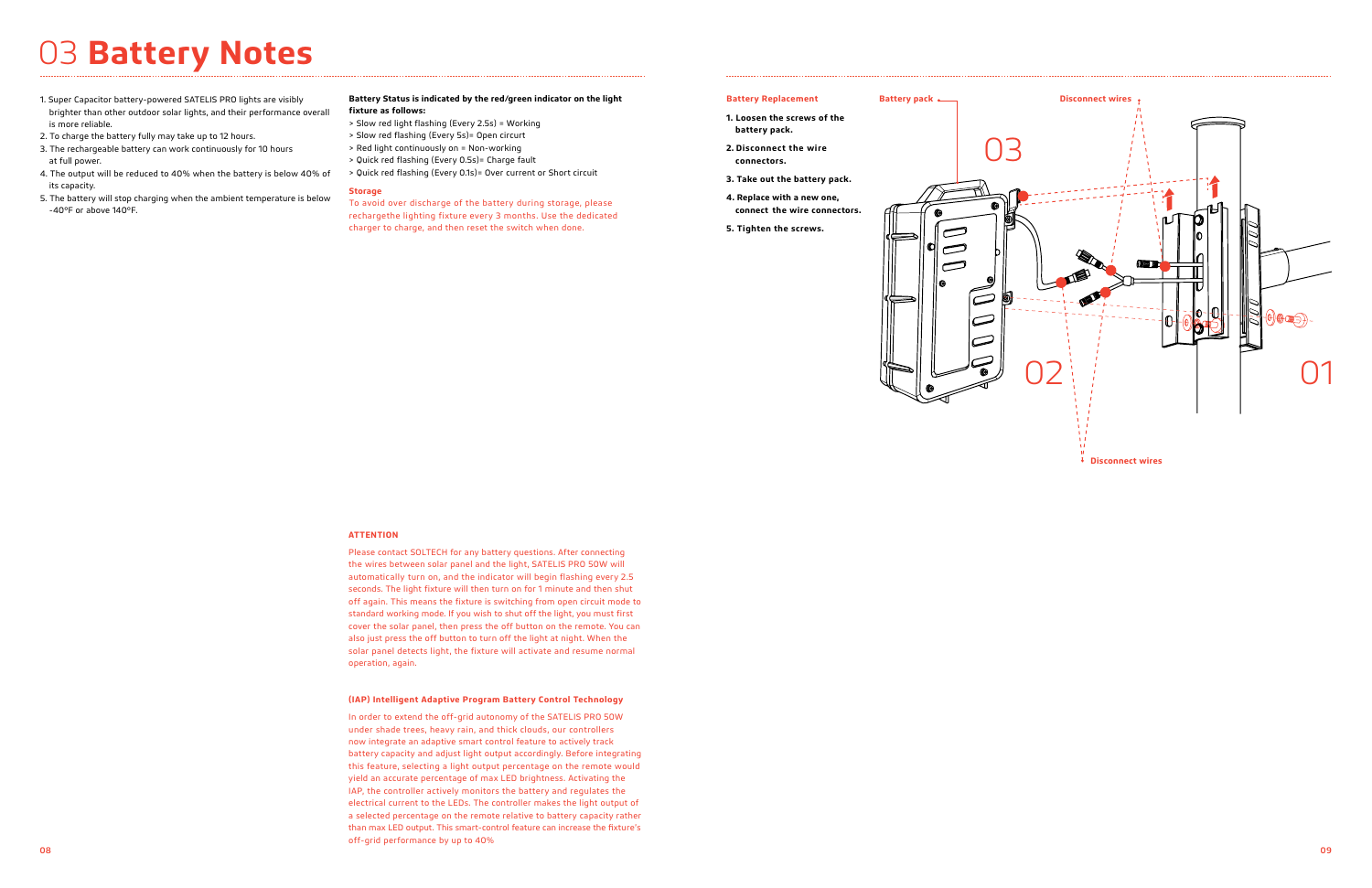- 1. Super Capacitor battery-powered SATELIS PRO lights are visibly brighter than other outdoor solar lights, and their performance overall is more reliable.
- 2. To charge the battery fully may take up to 12 hours.
- 3. The rechargeable battery can work continuously for 10 hours at full power.
- 4. The output will be reduced to 40% when the battery is below 40% of its capacity.
- 5. The battery will stop charging when the ambient temperature is below -40°F or above 140°F.

### **Battery Status is indicated by the red/green indicator on the light fixture as follows:**

- > Slow red light flashing (Every 2.5s) = Working
- > Slow red flashing (Every 5s)= Open circurt
- > Red light continuously on = Non-working
- > Quick red flashing (Every 0.5s)= Charge fault
- > Quick red flashing (Every 0.1s)= Over current or Short circuit

## **Storage**

To avoid over discharge of the battery during storage, please rechargethe lighting fixture every 3 months. Use the dedicated charger to charge, and then reset the switch when done.

## 03 **Battery Notes**

### **(IAP) Intelligent Adaptive Program Battery Control Technology**

In order to extend the off-grid autonomy of the SATELIS PRO 50W under shade trees, heavy rain, and thick clouds, our controllers now integrate an adaptive smart control feature to actively track battery capacity and adjust light output accordingly. Before integrating this feature, selecting a light output percentage on the remote would yield an accurate percentage of max LED brightness. Activating the IAP, the controller actively monitors the battery and regulates the electrical current to the LEDs. The controller makes the light output of a selected percentage on the remote relative to battery capacity rather than max LED output. This smart-control feature can increase the fixture's off-grid performance by up to 40%

### **ATTENTION**

Please contact SOLTECH for any battery questions. After connecting the wires between solar panel and the light, SATELIS PRO 50W will automatically turn on, and the indicator will begin flashing every 2.5 seconds. The light fixture will then turn on for 1 minute and then shut off again. This means the fixture is switching from open circuit mode to standard working mode. If you wish to shut off the light, you must first cover the solar panel, then press the off button on the remote. You can also just press the off button to turn off the light at night. When the solar panel detects light, the fixture will activate and resume normal operation, again.



**Battery Replacement**

## **1. Loosen the screws of the battery pack.**

- **2. Disconnect the wire connectors.**
- **3. Take out the battery pack.**
- **4. Replace with a new one, connect the wire connectors.**
- **5. Tighten the screws.**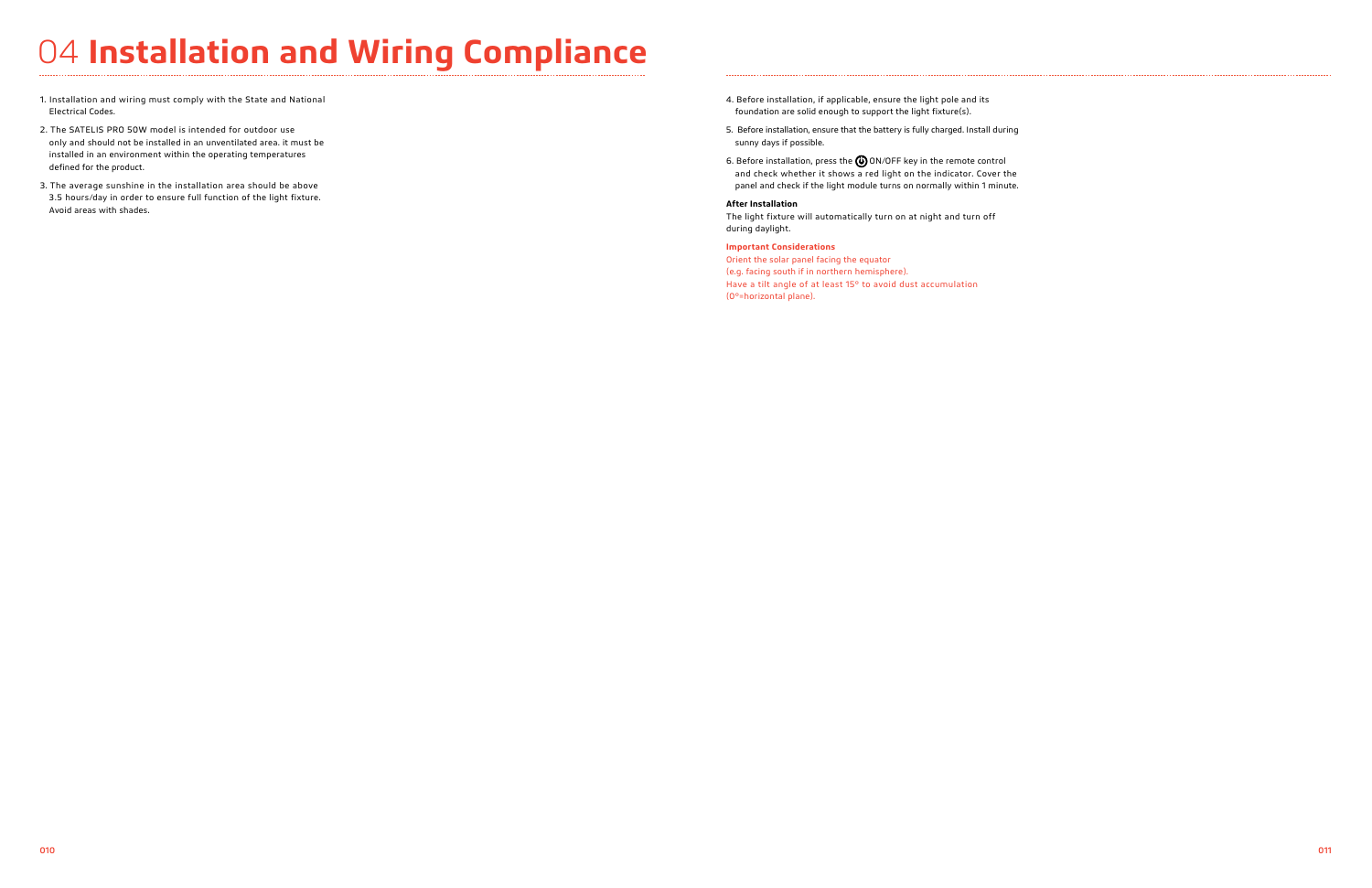## 04 **Installation and Wiring Compliance**

- 1. Installation and wiring must comply with the State and National Electrical Codes.
- 2. The SATELIS PRO 50W model is intended for outdoor use only and should not be installed in an unventilated area. it must be installed in an environment within the operating temperatures defined for the product.
- 3. The average sunshine in the installation area should be above 3.5 hours/day in order to ensure full function of the light fixture. Avoid areas with shades.
- 4. Before installation, if applicable, ensure the light pole and its foundation are solid enough to support the light fixture(s).
- 5. Before installation, ensure that the battery is fully charged. Install during sunny days if possible.
- 6. Before installation, press the  $\bigcirc$  ON/OFF key in the remote control and check whether it shows a red light on the indicator. Cover the panel and check if the light module turns on normally within 1 minute.

## **After Installation**

The light fixture will automatically turn on at night and turn off during daylight.

## **Important Considerations**

Orient the solar panel facing the equator (e.g. facing south if in northern hemisphere). Have a tilt angle of at least 15° to avoid dust accumulation (0°=horizontal plane).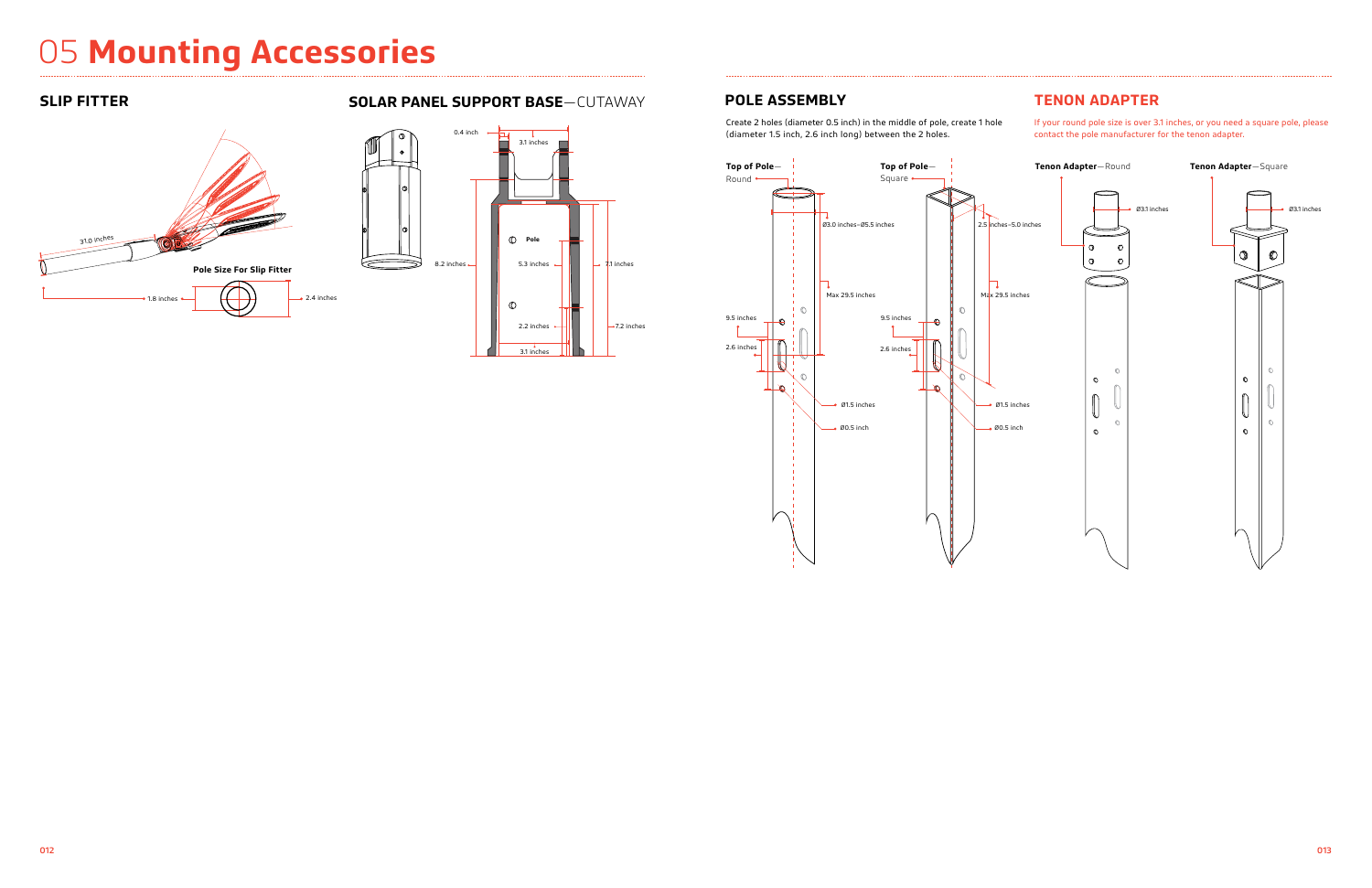## 05 **Mounting Accessories**

Create 2 holes (diameter 0.5 inch) in the middle of pole, create 1 hole (diameter 1.5 inch, 2.6 inch long) between the 2 holes.

If your round pole size is over 3.1 inches, or you need a square pole, please contact the pole manufacturer for the tenon adapter.

## **SLIP FITTER SOLAR PANEL SUPPORT BASE**—CUTAWAY **POLE ASSEMBLY TENON ADAPTER**





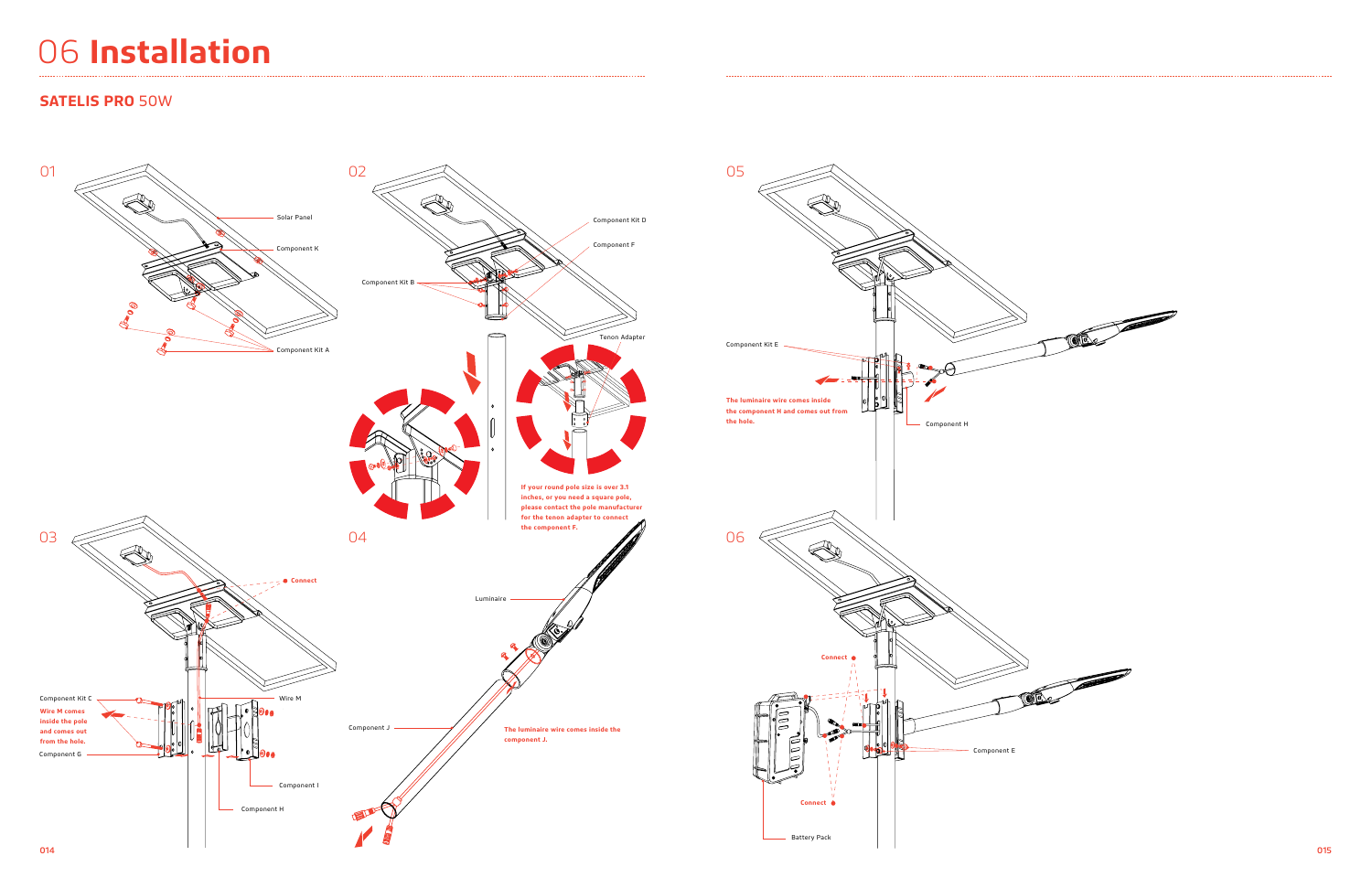## 06 **Installation**

## **SATELIS PRO** 50W

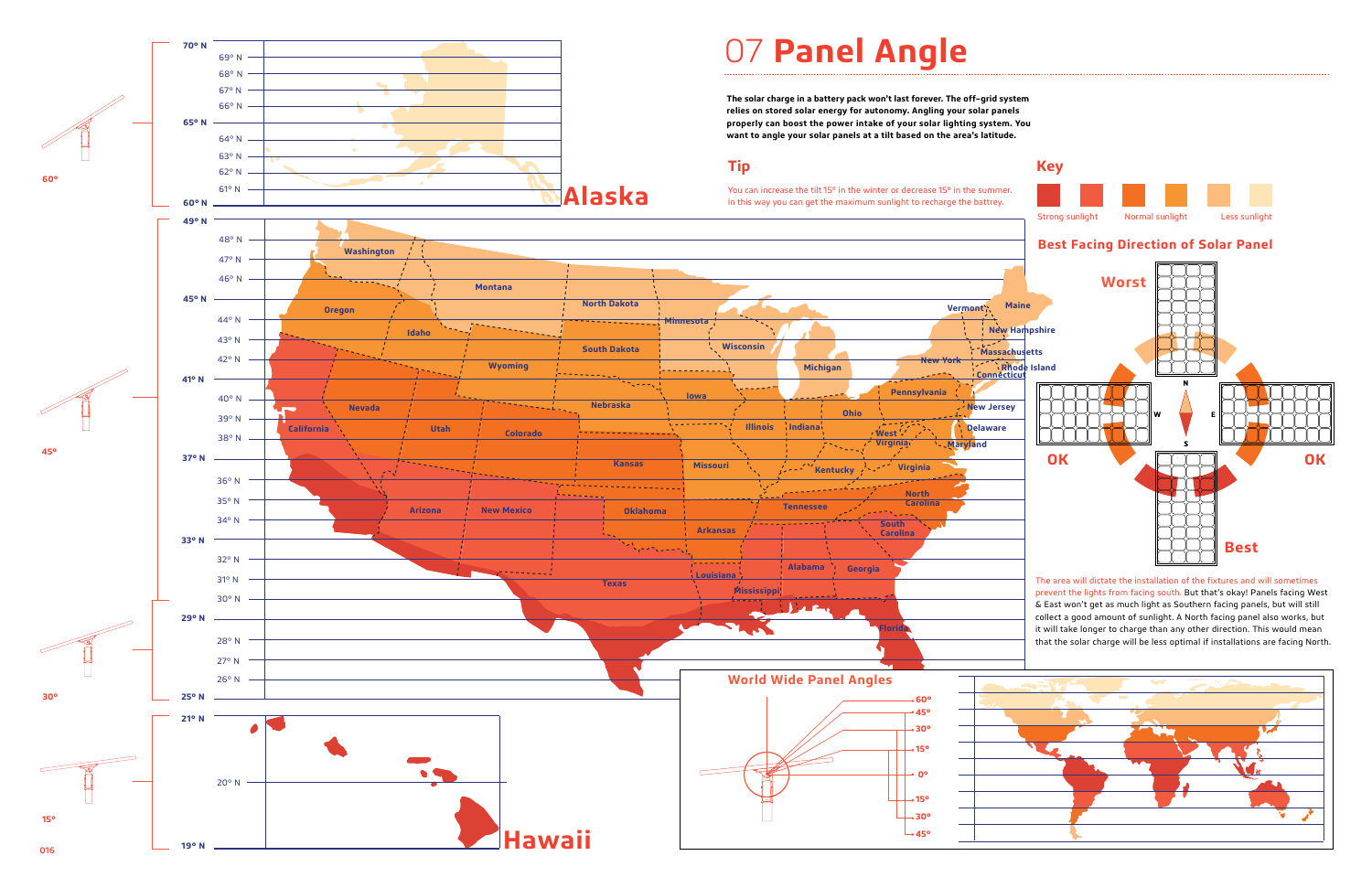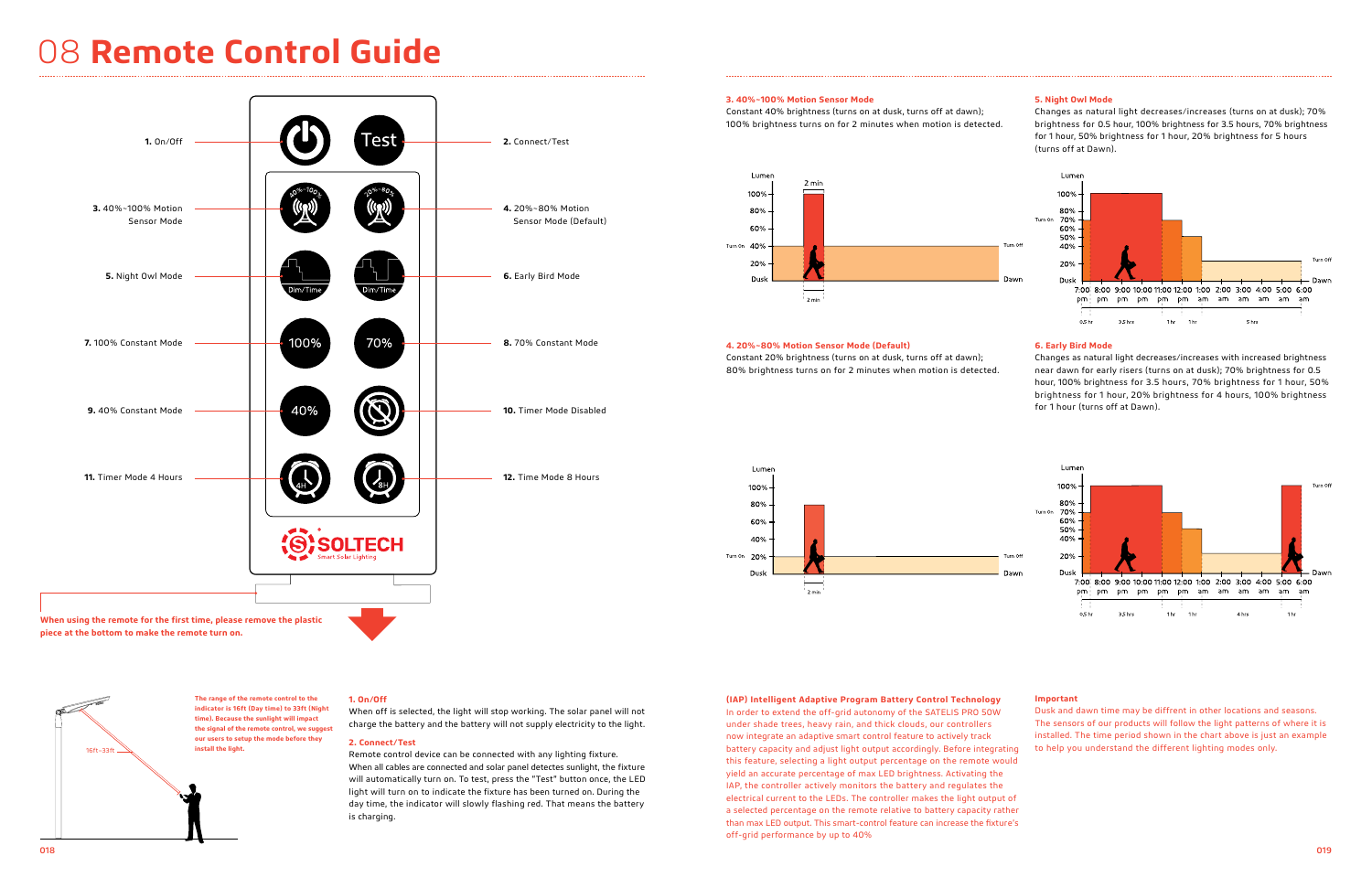## 08 **Remote Control Guide**

### **1. On/Off**

When off is selected, the light will stop working. The solar panel will not charge the battery and the battery will not supply electricity to the light.

### **2. Connect/Test**



Remote control device can be connected with any lighting fixture. When all cables are connected and solar panel detectes sunlight, the fixture will automatically turn on. To test, press the "Test" button once, the LED light will turn on to indicate the fixture has been turned on. During the day time, the indicator will slowly flashing red. That means the battery is charging.

**piece at the bottom to make the remote turn on.**



**The range of the remote control to the indicator is 16ft (Day time) to 33ft (Night time). Because the sunlight will impact the signal of the remote control, we suggest our users to setup the mode before they** 

**install the light.** 

## **3. 40%~100% Motion Sensor Mode**

Constant 40% brightness (turns on at dusk, turns off at dawn); 100% brightness turns on for 2 minutes when motion is detected.



### **4. 20%~80% Motion Sensor Mode (Default)**

Constant 20% brightness (turns on at dusk, turns off at dawn); 80% brightness turns on for 2 minutes when motion is detected.



## **5. Night Owl Mode**

Changes as natural light decreases/increases (turns on at dusk); 70% brightness for 0.5 hour, 100% brightness for 3.5 hours, 70% brightness for 1 hour, 50% brightness for 1 hour, 20% brightness for 5 hours (turns off at Dawn).

### **6. Early Bird Mode**

Changes as natural light decreases/increases with increased brightness near dawn for early risers (turns on at dusk); 70% brightness for 0.5 hour, 100% brightness for 3.5 hours, 70% brightness for 1 hour, 50% brightness for 1 hour, 20% brightness for 4 hours, 100% brightness for 1 hour (turns off at Dawn).

### **Important**

Dusk and dawn time may be diffrent in other locations and seasons. The sensors of our products will follow the light patterns of where it is installed. The time period shown in the chart above is just an example to help you understand the different lighting modes only.

### **(IAP) Intelligent Adaptive Program Battery Control Technology**

In order to extend the off-grid autonomy of the SATELIS PRO 50W under shade trees, heavy rain, and thick clouds, our controllers now integrate an adaptive smart control feature to actively track battery capacity and adjust light output accordingly. Before integrating this feature, selecting a light output percentage on the remote would yield an accurate percentage of max LED brightness. Activating the IAP, the controller actively monitors the battery and regulates the electrical current to the LEDs. The controller makes the light output of a selected percentage on the remote relative to battery capacity rather than max LED output. This smart-control feature can increase the fixture's off-grid performance by up to 40%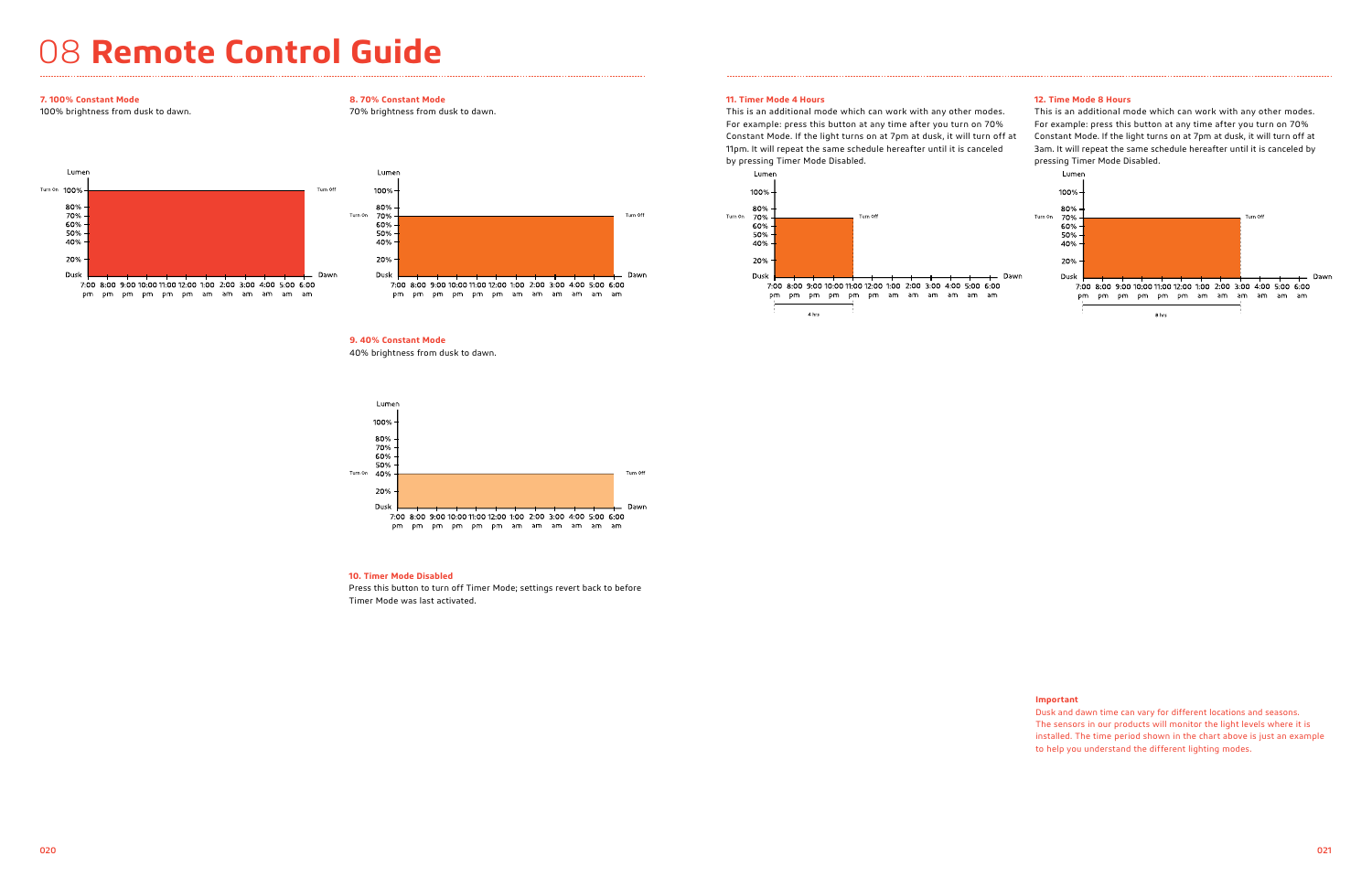## 08 **Remote Control Guide**

## **8. 70% Constant Mode**

70% brightness from dusk to dawn.



**9. 40% Constant Mode**

40% brightness from dusk to dawn.



## **10. Timer Mode Disabled**

Press this button to turn off Timer Mode; settings revert back to before Timer Mode was last activated.

## **7. 100% Constant Mode**

100% brightness from dusk to dawn.



pm pm pm pm pm pm am am am am am am

## **11. Timer Mode 4 Hours**

This is an additional mode which can work with any other modes. For example: press this button at any time after you turn on 70% 11pm. It will repeat the same schedule hereafter until it is canceled by pressing Timer Mode Disabled.

## **12. Time Mode 8 Hours**



### **Important**

Dusk and dawn time can vary for different locations and seasons. The sensors in our products will monitor the light levels where it is installed. The time period shown in the chart above is just an example to help you understand the different lighting modes.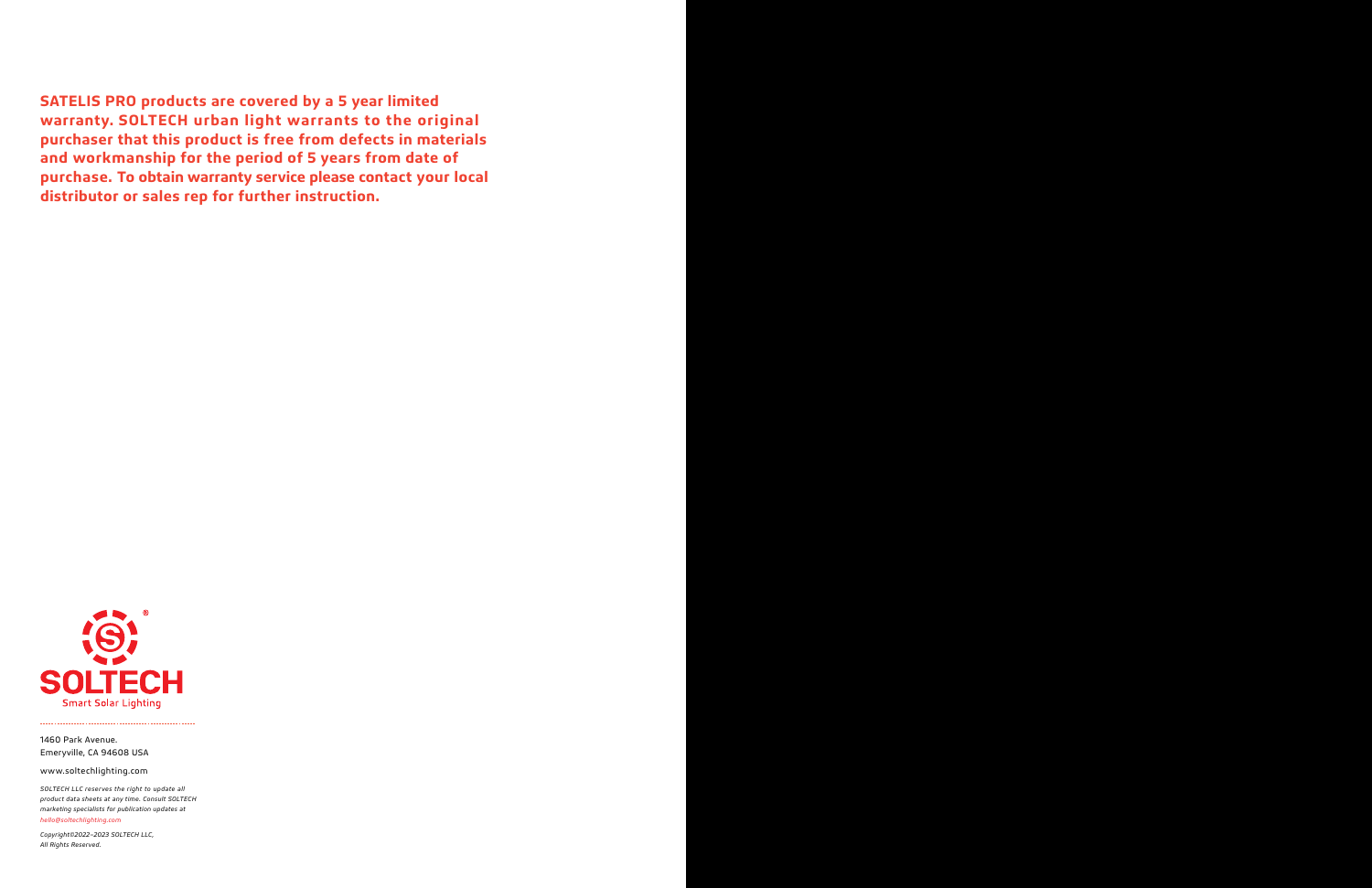**SATELIS PRO products are covered by a 5 year limited warranty. SOLTECH urban light warrants to the original purchaser that this product is free from defects in materials and workmanship for the period of 5 years from date of purchase. To obtain warranty service please contact your local distributor or sales rep for further instruction.** 



not regno received. *Copyright©2022–2023 SOLTECH LLC, All Rights Reserved.*

*SOLTECH LLC reserves the right to update all product data sheets at any time. Consult SOLTECH marketing specialists for publication updates at hello@soltechlighting.com*

1460 Park Avenue. Emeryville, CA 94608 USA

www.soltechlighting.com